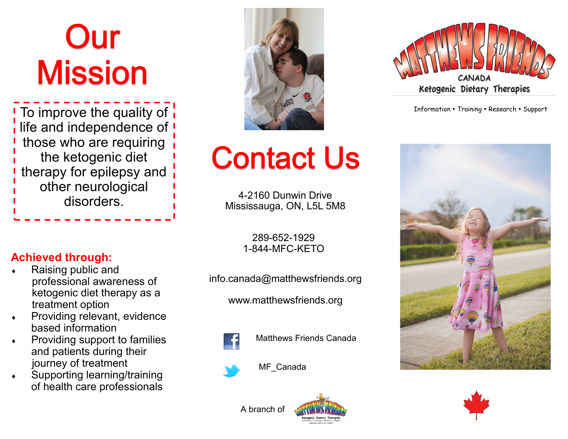# Our **Mission**

To improve the quality of  $\overline{1}$  and  $\overline{1}$  are severed **Training Research • Support** life and independence of ! those who are requiring the ketogenic diet therapy for epilepsy and other neurological disorders.

**Achieved through:**

Raising public and

treatment option

based information

 professional awareness of ketogenic diet therapy as a

Providing relevant, evidence

Providing support to families

 Supporting learning/training of health care professionals

and patients during their

journey of treatment



## **Contact Us**

4-2160 Dunwin Drive Mississauga, ON, L5L 5M8

> 289-652-1929 1-844-MFC-KETO

info.canada@matthewsfriends.org

www.matthewsfriends.org



Matthews Friends Canada



MF\_Canada









A branch of